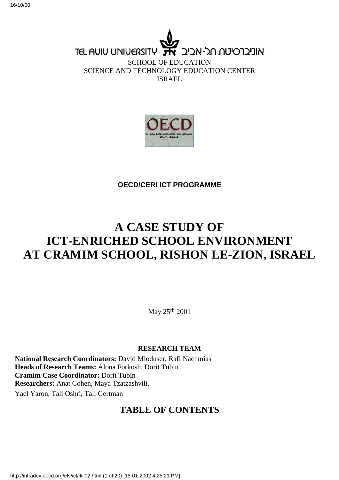**TEL AUIU UNIVERSITY** אוניברסיטח חל-אביב SCHOOL OF EDUCATION

SCIENCE AND TECHNOLOGY EDUCATION CENTER ISRAEL



**OECD/CERI ICT PROGRAMME**

# **A CASE STUDY OF ICT-ENRICHED SCHOOL ENVIRONMENT AT CRAMIM SCHOOL, RISHON LE-ZION, ISRAEL**

May 25th 2001

#### **RESEARCH TEAM**

**National Research Coordinators:** David Mioduser, Rafi Nachmias **Heads of Research Teams:** Alona Forkosh, Dorit Tubin **Cramim Case Coordinator:** Dorit Tubin **Researchers:** Anat Cohen, Maya Tzatzashvili, Yael Yaron, Tali Oshri, Tali Gertman

### **TABLE OF CONTENTS**

http://intradev.oecd.org/els/ict/il/il02.html (1 of 20) [15-01-2002 4:25:21 PM]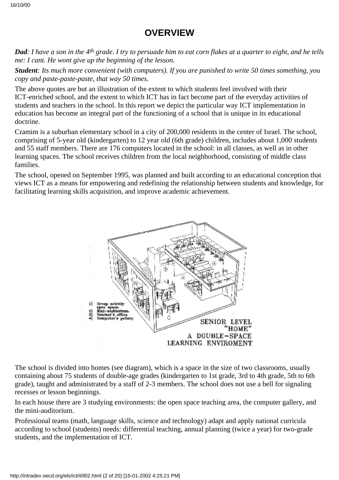### **OVERVIEW**

*Dad: I have a son in the 4th grade. I try to persuade him to eat corn flakes at a quarter to eight, and he tells me: I cant. He wont give up the beginning of the lesson.*

*Student: It s much more convenient (with computers). If you are punished to write 50 times something, you copy and paste-paste-paste, that way 50 times.*

The above quotes are but an illustration of the extent to which students feel involved with their ICT-enriched school, and the extent to which ICT has in fact become part of the everyday activities of students and teachers in the school. In this report we depict the particular way ICT implementation in education has become an integral part of the functioning of a school that is unique in its educational doctrine.

Cramim is a suburban elementary school in a city of 200,000 residents in the center of Israel. The school, comprising of 5-year old (kindergarten) to 12 year old (6th grade) children, includes about 1,000 students and 55 staff members. There are 176 computers located in the school: in all classes, as well as in other learning spaces. The school receives children from the local neighborhood, consisting of middle class families.

The school, opened on September 1995, was planned and built according to an educational conception that views ICT as a means for empowering and redefining the relationship between students and knowledge, for facilitating learning skills acquisition, and improve academic achievement.



The school is divided into homes (see diagram), which is a space in the size of two classrooms, usually containing about 75 students of double-age grades (kindergarten to 1st grade, 3rd to 4th grade, 5th to 6th grade), taught and administrated by a staff of 2-3 members. The school does not use a bell for signaling recesses or lesson beginnings.

In each house there are 3 studying environments: the open space teaching area, the computer gallery, and the mini-auditorium.

Professional teams (math, language skills, science and technology) adapt and apply national curricula according to school (students) needs: differential teaching, annual planning (twice a year) for two-grade students, and the implementation of ICT.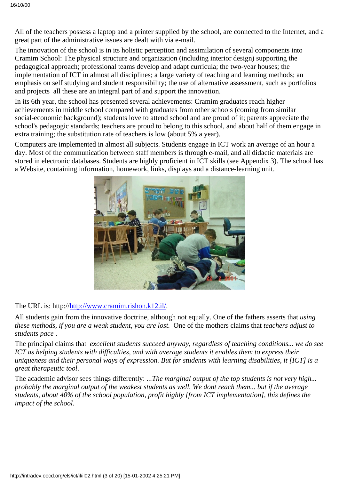All of the teachers possess a laptop and a printer supplied by the school, are connected to the Internet, and a great part of the administrative issues are dealt with via e-mail.

The innovation of the school is in its holistic perception and assimilation of several components into Cramim School: The physical structure and organization (including interior design) supporting the pedagogical approach; professional teams develop and adapt curricula; the two-year houses; the implementation of ICT in almost all disciplines; a large variety of teaching and learning methods; an emphasis on self studying and student responsibility; the use of alternative assessment, such as portfolios and projects all these are an integral part of and support the innovation.

In its 6th year, the school has presented several achievements: Cramim graduates reach higher achievements in middle school compared with graduates from other schools (coming from similar social-economic background); students love to attend school and are proud of it; parents appreciate the school's pedagogic standards; teachers are proud to belong to this school, and about half of them engage in extra training; the substitution rate of teachers is low (about 5% a year).

Computers are implemented in almost all subjects. Students engage in ICT work an average of an hour a day. Most of the communication between staff members is through e-mail, and all didactic materials are stored in electronic databases. Students are highly proficient in ICT skills (see Appendix 3). The school has a Website, containing information, homework, links, displays and a distance-learning unit.



The URL is: http:/[/http://www.cramim.rishon.k12.il/](http://www.cramim.rishon.k12.il/).

All students gain from the innovative doctrine, although not equally. One of the fathers asserts that *using these methods, if you are a weak student, you are lost.* One of the mothers claims that *teachers adjust to students pace*.

The principal claims that *excellent students succeed anyway, regardless of teaching conditions... we do see ICT as helping students with difficulties, and with average students it enables them to express their uniqueness and their personal ways of expression. But for students with learning disabilities, it [ICT] is a great therapeutic tool*.

The academic advisor sees things differently: *...The marginal output of the top students is not very high... probably the marginal output of the weakest students as well. We dont reach them... but if the average students, about 40% of the school population, profit highly [from ICT implementation], this defines the impact of the school*.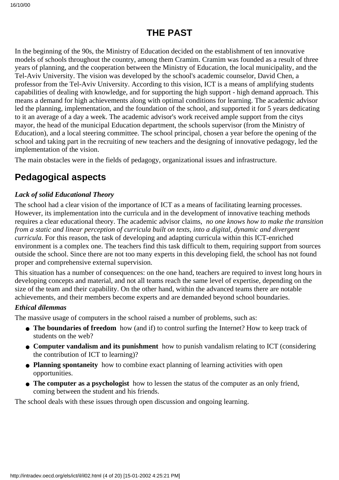# **THE PAST**

In the beginning of the 90s, the Ministry of Education decided on the establishment of ten innovative models of schools throughout the country, among them Cramim. Cramim was founded as a result of three years of planning, and the cooperation between the Ministry of Education, the local municipality, and the Tel-Aviv University. The vision was developed by the school's academic counselor, David Chen, a professor from the Tel-Aviv University. According to this vision, ICT is a means of amplifying students capabilities of dealing with knowledge, and for supporting the high support - high demand approach. This means a demand for high achievements along with optimal conditions for learning. The academic advisor led the planning, implementation, and the foundation of the school, and supported it for 5 years dedicating to it an average of a day a week. The academic advisor's work received ample support from the citys mayor, the head of the municipal Education department, the school s supervisor (from the Ministry of Education), and a local steering committee. The school principal, chosen a year before the opening of the school and taking part in the recruiting of new teachers and the designing of innovative pedagogy, led the implementation of the vision.

The main obstacles were in the fields of pedagogy, organizational issues and infrastructure.

## **Pedagogical aspects**

#### *Lack of solid Educational Theory*

The school had a clear vision of the importance of ICT as a means of facilitating learning processes. However, its implementation into the curricula and in the development of innovative teaching methods requires a clear educational theory. The academic advisor claims, *no one knows how to make the transition from a static and linear perception of curricula built on texts, into a digital, dynamic and divergent curricula*. For this reason, the task of developing and adapting curricula within this ICT-enriched environment is a complex one. The teachers find this task difficult to them, requiring support from sources outside the school. Since there are not too many experts in this developing field, the school has not found proper and comprehensive external supervision.

This situation has a number of consequences: on the one hand, teachers are required to invest long hours in developing concepts and material, and not all teams reach the same level of expertise, depending on the size of the team and their capability. On the other hand, within the advanced teams there are notable achievements, and their members become experts and are demanded beyond school boundaries.

#### *Ethical dilemmas*

The massive usage of computers in the school raised a number of problems, such as:

- The boundaries of freedom how (and if) to control surfing the Internet? How to keep track of students on the web?
- **Computer vandalism and its punishment** how to punish vandalism relating to ICT (considering the contribution of ICT to learning)?
- Planning spontaneity how to combine exact planning of learning activities with open opportunities.
- **The computer as a psychologist** how to lessen the status of the computer as an only friend, coming between the student and his friends.

The school deals with these issues through open discussion and ongoing learning.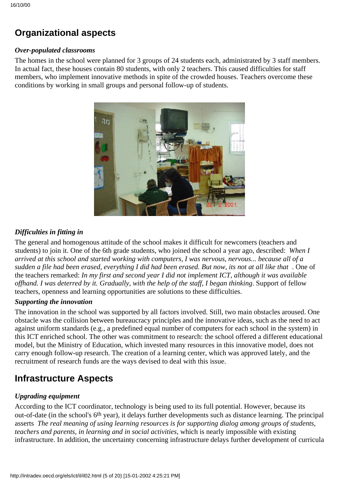# **Organizational aspects**

#### *Over-populated classrooms*

The homes in the school were planned for 3 groups of 24 students each, administrated by 3 staff members. In actual fact, these houses contain 80 students, with only 2 teachers. This caused difficulties for staff members, who implement innovative methods in spite of the crowded houses. Teachers overcome these conditions by working in small groups and personal follow-up of students.



#### *Difficulties in fitting in*

The general and homogenous attitude of the school makes it difficult for newcomers (teachers and students) to join it. One of the 6th grade students, who joined the school a year ago, described: *When I arrived at this school and started working with computers, I was nervous, nervous... because all of a* sudden a file had been erased, everything I did had been erased. But now, it s not at all like that . One of the teachers remarked: *In my first and second year I did not implement ICT, although it was available offhand. I was deterred by it. Gradually, with the help of the staff, I began thinking*. Support of fellow teachers, openness and learning opportunities are solutions to these difficulties.

#### *Supporting the innovation*

The innovation in the school was supported by all factors involved. Still, two main obstacles aroused. One obstacle was the collision between bureaucracy principles and the innovative ideas, such as the need to act against uniform standards (e.g., a predefined equal number of computers for each school in the system) in this ICT enriched school. The other was commitment to research: the school offered a different educational model, but the Ministry of Education, which invested many resources in this innovative model, does not carry enough follow-up research. The creation of a learning center, which was approved lately, and the recruitment of research funds are the ways devised to deal with this issue.

## **Infrastructure Aspects**

#### *Upgrading equipment*

According to the ICT coordinator, technology is being used to its full potential. However, because it s out-of-date (in the school's 6th year), it delays further developments such as distance learning. The principal asserts *The real meaning of using learning resources is for supporting dialog among groups of students, teachers and parents, in learning and in social activities*, which is nearly impossible with existing infrastructure. In addition, the uncertainty concerning infrastructure delays further development of curricula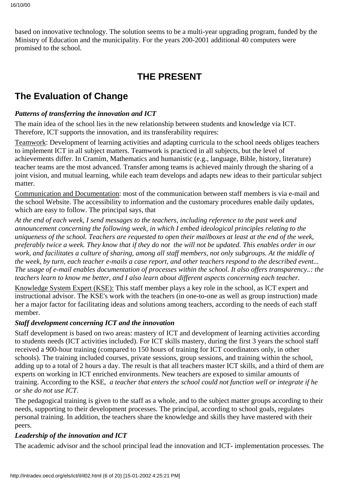based on innovative technology. The solution seems to be a multi-year upgrading program, funded by the Ministry of Education and the municipality. For the years 200-2001 additional 40 computers were promised to the school.

# **THE PRESENT**

# **The Evaluation of Change**

#### *Patterns of transferring the innovation and ICT*

The main idea of the school lies in the new relationship between students and knowledge via ICT. Therefore, ICT supports the innovation, and its transferability requires:

Teamwork: Development of learning activities and adapting curricula to the school needs obliges teachers to implement ICT in all subject matters. Teamwork is practiced in all subjects, but the level of achievements differ. In Cramim, Mathematics and humanistic (e.g., language, Bible, history, literature) teacher teams are the most advanced. Transfer among teams is achieved mainly through the sharing of a joint vision, and mutual learning, while each team develops and adapts new ideas to their particular subject matter.

Communication and Documentation: most of the communication between staff members is via e-mail and the school Website. The accessibility to information and the customary procedures enable daily updates, which are easy to follow. The principal says, that

*At the end of each week, I send messages to the teachers, including reference to the past week and announcement concerning the following week, in which I embed ideological principles relating to the uniqueness of the school. Teachers are requested to open their mailboxes at least at the end of the week, preferably twice a week. They know that if they do not the will not be updated. This enables order in our work, and facilitates a culture of sharing, among all staff members, not only subgroups. At the middle of the week, by turn, each teacher e-mails a case report, and other teachers respond to the described event... The usage of e-mail enables documentation of processes within the school. It also offers transparency..: the teachers learn to know me better, and I also learn about different aspects concerning each teacher.*

Knowledge System Expert (KSE): This staff member plays a key role in the school, as ICT expert and instructional advisor. The KSE's work with the teachers (in one-to-one as well as group instruction) made her a major factor for facilitating ideas and solutions among teachers, according to the needs of each staff member.

#### *Staff development concerning ICT and the innovation*

Staff development is based on two areas: mastery of ICT and development of learning activities according to students needs (ICT activities included). For ICT skills mastery, during the first 3 years the school staff received a 900-hour training (compared to 150 hours of training for ICT coordinators only, in other schools). The training included courses, private sessions, group sessions, and training within the school, adding up to a total of 2 hours a day. The result is that all teachers master ICT skills, and a third of them are experts on working in ICT enriched environments. New teachers are exposed to similar amounts of training. According to the KSE, *a teacher that enters the school could not function well or integrate if he or she do not use ICT*.

The pedagogical training is given to the staff as a whole, and to the subject matter groups according to their needs, supporting to their development processes. The principal, according to school goals, regulates personal training. In addition, the teachers share the knowledge and skills they have mastered with their peers.

#### *Leadership of the innovation and ICT*

The academic advisor and the school principal lead the innovation and ICT- implementation processes. The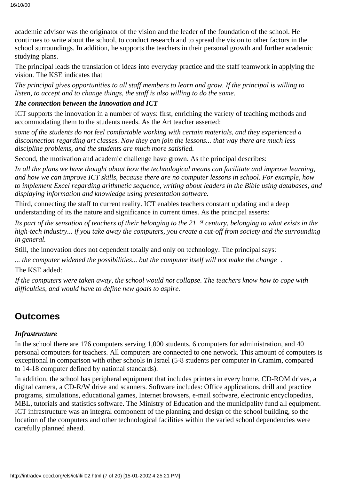academic advisor was the originator of the vision and the leader of the foundation of the school. He continues to write about the school, to conduct research and to spread the vision to other factors in the school surroundings. In addition, he supports the teachers in their personal growth and further academic studying plans.

The principal leads the translation of ideas into everyday practice and the staff teamwork in applying the vision. The KSE indicates that

*The principal gives opportunities to all staff members to learn and grow. If the principal is willing to listen, to accept and to change things, the staff is also willing to do the same.*

#### *The connection between the innovation and ICT*

ICT supports the innovation in a number of ways: first, enriching the variety of teaching methods and accommodating them to the students needs. As the Art teacher asserted:

*some of the students do not feel comfortable working with certain materials, and they experienced a disconnection regarding art classes. Now they can join the lessons... that way there are much less discipline problems, and the students are much more satisfied.*

Second, the motivation and academic challenge have grown. As the principal describes:

*In all the plans we have thought about how the technological means can facilitate and improve learning, and how we can improve ICT skills, because there are no computer lessons in school. For example, how to implement Excel regarding arithmetic sequence, writing about leaders in the Bible using databases, and displaying information and knowledge using presentation software.*

Third, connecting the staff to current reality. ICT enables teachers constant updating and a deep understanding of its the nature and significance in current times. As the principal asserts:

*Its part of the sensation of teachers of their belonging to the 21st century, belonging to what exists in the high-tech industry... if you take away the computers, you create a cut-off from society and the surrounding in general.*

Still, the innovation does not dependent totally and only on technology. The principal says:

*... the computer widened the possibilities... but the computer itself will not make the change*.

The KSE added:

*If the computers were taken away, the school would not collapse. The teachers know how to cope with difficulties, and would have to define new goals to aspire.*

### **Outcomes**

#### *Infrastructure*

In the school there are 176 computers serving 1,000 students, 6 computers for administration, and 40 personal computers for teachers. All computers are connected to one network. This amount of computers is exceptional in comparison with other schools in Israel (5-8 students per computer in Cramim, compared to 14-18 computer defined by national standards).

In addition, the school has peripheral equipment that includes printers in every home, CD-ROM drives, a digital camera, a CD-R/W drive and scanners. Software includes: Office applications, drill and practice programs, simulations, educational games, Internet browsers, e-mail software, electronic encyclopedias, MBL, tutorials and statistics software. The Ministry of Education and the municipality fund all equipment. ICT infrastructure was an integral component of the planning and design of the school building, so the location of the computers and other technological facilities within the varied school dependencies were carefully planned ahead.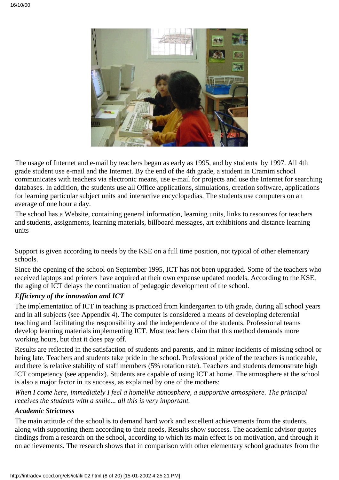

The usage of Internet and e-mail by teachers began as early as 1995, and by students by 1997. All 4th grade student use e-mail and the Internet. By the end of the 4th grade, a student in Cramim school communicates with teachers via electronic means, use e-mail for projects and use the Internet for searching databases. In addition, the students use all Office applications, simulations, creation software, applications for learning particular subject units and interactive encyclopedias. The students use computers on an average of one hour a day.

The school has a Website, containing general information, learning units, links to resources for teachers and students, assignments, learning materials, billboard messages, art exhibitions and distance learning units

Support is given according to needs by the KSE on a full time position, not typical of other elementary schools.

Since the opening of the school on September 1995, ICT has not been upgraded. Some of the teachers who received laptops and printers have acquired at their own expense updated models. According to the KSE, the aging of ICT delays the continuation of pedagogic development of the school.

#### *Efficiency of the innovation and ICT*

The implementation of ICT in teaching is practiced from kindergarten to 6th grade, during all school years and in all subjects (see Appendix 4). The computer is considered a means of developing deferential teaching and facilitating the responsibility and the independence of the students. Professional teams develop learning materials implementing ICT. Most teachers claim that this method demands more working hours, but that it does pay off.

Results are reflected in the satisfaction of students and parents, and in minor incidents of missing school or being late. Teachers and students take pride in the school. Professional pride of the teachers is noticeable, and there is relative stability of staff members (5% rotation rate). Teachers and students demonstrate high ICT competency (see appendix). Students are capable of using ICT at home. The atmosphere at the school is also a major factor in its success, as explained by one of the mothers:

*When I come here, immediately I feel a homelike atmosphere, a supportive atmosphere. The principal receives the students with a smile... all this is very important.*

#### *Academic Strictness*

The main attitude of the school is to demand hard work and excellent achievements from the students, along with supporting them according to their needs. Results show success. The academic advisor quotes findings from a research on the school, according to which its main effect is on motivation, and through it on achievements. The research shows that in comparison with other elementary school graduates from the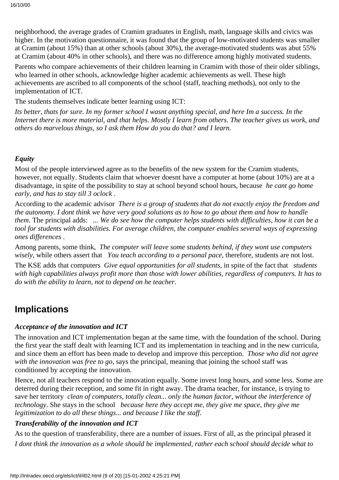neighborhood, the average grades of Cramim graduates in English, math, language skills and civics was higher. In the motivation questionnaire, it was found that the group of low-motivated students was smaller at Cramim (about 15%) than at other schools (about 30%), the average-motivated students was abut 55% at Cramim (about 40% in other schools), and there was no difference among highly motivated students.

Parents who compare achievements of their children learning in Cramim with those of their older siblings, who learned in other schools, acknowledge higher academic achievements as well. These high achievements are ascribed to all components of the school (staff, teaching methods), not only to the implementation of ICT.

The students themselves indicate better learning using ICT:

It s better, that s for sure. In my former school I wasn t anything special, and here I m a success. In the *Internet there is more material, and that helps. Mostly I learn from others. The teacher gives us work, and others do marvelous things, so I ask them How do you do that? and I learn.*

#### *Equity*

Most of the people interviewed agree as to the benefits of the new system for the Cramim students, however, not equally. Students claim that whoever doesnt have a computer at home (about 10%) are at a disadvantage, in spite of the possibility to stay at school beyond school hours, because *he cant go home early, and has to stay till 3 oclock*.

According to the academic advisor *There is a group of students that do not exactly enjoy the freedom and the autonomy. I dont think we have very good solutions as to how to go about them and how to handle them*. The principal adds: *... We do see how the computer helps students with difficulties, how it can be a tool for students with disabilities. For average children, the computer enables several ways of expressing ones differences*.

Among parents, some think, *The computer will leave some students behind, if they wont use computers wisely*, while others assert that *You teach according to a personal pace*, therefore, students are not lost.

The KSE adds that computers *Give equal opportunities for all students*, in spite of the fact that *students with high capabilities always profit more than those with lower abilities, regardless of computers. It has to do with the ability to learn, not to depend on he teacher*.

### **Implications**

#### *Acceptance of the innovation and ICT*

The innovation and ICT implementation began at the same time, with the foundation of the school. During the first year the staff dealt with learning ICT and its implementation in teaching and in the new curricula, and since them an effort has been made to develop and improve this perception. *Those who did not agree with the innovation was free to go*, says the principal, meaning that joining the school staff was conditioned by accepting the innovation.

Hence, not all teachers respond to the innovation equally. Some invest long hours, and some less. Some are deterred during their reception, and some fit in right away. The drama teacher, for instance, is trying to save her territory *clean of computers, totally clean... only the human factor, without the interference of technology*. She stays in the school *because here they accept me, they give me space, they give me legitimization to do all these things... and because I like the staff*.

#### *Transferability of the innovation and ICT*

As to the question of transferability, there are a number of issues. First of all, as the principal phrased it *I dont think the innovation as a whole should be implemented, rather each school should decide what to*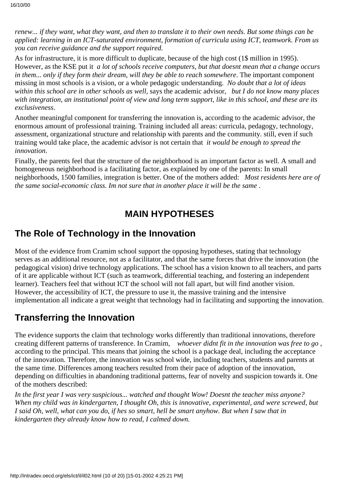*renew... if they want, what they want, and then to translate it to their own needs. But some things can be applied: learning in an ICT-saturated environment, formation of curricula using ICT, teamwork. From us you can receive guidance and the support required.*

As for infrastructure, it is more difficult to duplicate, because of the high cost (1\$ million in 1995). However, as the KSE put it *a lot of schools receive computers, but that doesnt mean that a change occurs in them... only if they form their dream, will they be able to reach somewhere*. The important component missing in most schools is a vision, or a whole pedagogic understanding. *No doubt that a lot of ideas within this school are in other schools as well*, says the academic advisor, *but I do not know many places with integration, an institutional point of view and long term support, like in this school, and these are its exclusiveness*.

Another meaningful component for transferring the innovation is, according to the academic advisor, the enormous amount of professional training. Training included all areas: curricula, pedagogy, technology, assessment, organizational structure and relationship with parents and the community. still, even if such training would take place, the academic advisor is not certain that *it would be enough to spread the innovation*.

Finally, the parents feel that the structure of the neighborhood is an important factor as well. A small and homogeneous neighborhood is a facilitating factor, as explained by one of the parents: In small neighborhoods, 1500 families, integration is better. One of the mothers added: *Most residents here are of the same social-economic class. Im not sure that in another place it will be the same*.

### **MAIN HYPOTHESES**

### **The Role of Technology in the Innovation**

Most of the evidence from Cramim school support the opposing hypotheses, stating that technology serves as an additional resource, not as a facilitator, and that the same forces that drive the innovation (the pedagogical vision) drive technology applications. The school has a vision known to all teachers, and parts of it are applicable without ICT (such as teamwork, differential teaching, and fostering an independent learner). Teachers feel that without ICT the school will not fall apart, but will find another vision. However, the accessibility of ICT, the pressure to use it, the massive training and the intensive implementation all indicate a great weight that technology had in facilitating and supporting the innovation.

## **Transferring the Innovation**

The evidence supports the claim that technology works differently than traditional innovations, therefore creating different patterns of transference. In Cramim, *whoever didnt fit in the innovation was free to go*, according to the principal. This means that joining the school is a package deal, including the acceptance of the innovation. Therefore, the innovation was school wide, including teachers, students and parents at the same time. Differences among teachers resulted from their pace of adoption of the innovation, depending on difficulties in abandoning traditional patterns, fear of novelty and suspicion towards it. One of the mothers described:

*In the first year I was very suspicious... watched and thought Wow! Doesnt the teacher miss anyone?* When my child was in kindergarten, I thought Oh, this is innovative, experimental, and we re screwed, but *I said Oh, well, what can you do, if hes so smart, hell be smart anyhow. But when I saw that in kindergarten they already know how to read, I calmed down.*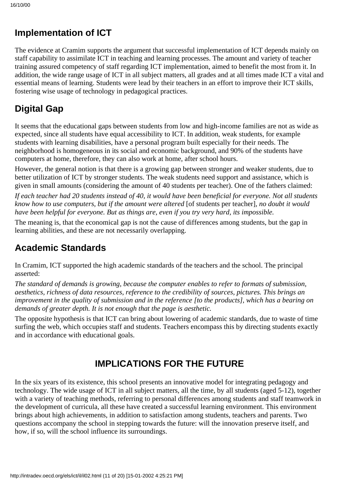### **Implementation of ICT**

The evidence at Cramim supports the argument that successful implementation of ICT depends mainly on staff capability to assimilate ICT in teaching and learning processes. The amount and variety of teacher training assured competency of staff regarding ICT implementation, aimed to benefit the most from it. In addition, the wide range usage of ICT in all subject matters, all grades and at all times made ICT a vital and essential means of learning. Students were lead by their teachers in an effort to improve their ICT skills, fostering wise usage of technology in pedagogical practices.

# **Digital Gap**

It seems that the educational gaps between students from low and high-income families are not as wide as expected, since all students have equal accessibility to ICT. In addition, weak students, for example students with learning disabilities, have a personal program built especially for their needs. The neighborhood is homogeneous in its social and economic background, and 90% of the students have computers at home, therefore, they can also work at home, after school hours.

However, the general notion is that there is a growing gap between stronger and weaker students, due to better utilization of ICT by stronger students. The weak students need support and assistance, which is given in small amounts (considering the amount of 40 students per teacher). One of the fathers claimed:

*If each teacher had 20 students instead of 40, it would have been beneficial for everyone. Not all students know how to use computers, but if the amount were altered* [of students per teacher]*, no doubt it would have been helpful for everyone. But as things are, even if you try very hard, its impossible.*

The meaning is, that the economical gap is not the cause of differences among students, but the gap in learning abilities, and these are not necessarily overlapping.

## **Academic Standards**

In Cramim, ICT supported the high academic standards of the teachers and the school. The principal asserted:

*The standard of demands is growing, because the computer enables to refer to formats of submission, aesthetics, richness of data resources, reference to the credibility of sources, pictures. This brings an improvement in the quality of submission and in the reference [to the products], which has a bearing on demands of greater depth. It is not enough that the page is aesthetic.*

The opposite hypothesis is that ICT can bring about lowering of academic standards, due to waste of time surfing the web, which occupies staff and students. Teachers encompass this by directing students exactly and in accordance with educational goals.

## **IMPLICATIONS FOR THE FUTURE**

In the six years of its existence, this school presents an innovative model for integrating pedagogy and technology. The wide usage of ICT in all subject matters, all the time, by all students (aged 5-12), together with a variety of teaching methods, referring to personal differences among students and staff teamwork in the development of curricula, all these have created a successful learning environment. This environment brings about high achievements, in addition to satisfaction among students, teachers and parents. Two questions accompany the school in stepping towards the future: will the innovation preserve itself, and how, if so, will the school influence its surroundings.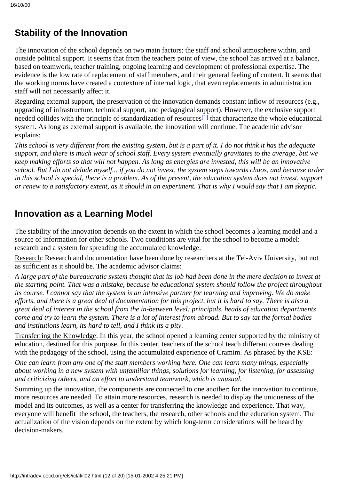## **Stability of the Innovation**

The innovation of the school depends on two main factors: the staff and school atmosphere within, and outside political support. It seems that from the teachers point of view, the school has arrived at a balance, based on teamwork, teacher training, ongoing learning and development of professional expertise. The evidence is the low rate of replacement of staff members, and their general feeling of content. It seems that the working norms have created a contexture of internal logic, that even replacements in administration staff will not necessarily affect it.

<span id="page-11-0"></span>Regarding external support, the preservation of the innovation demands constant inflow of resources (e.g., upgrading of infrastructure, technical support, and pedagogical support). However, the exclusive support needed collides with the principle of standardization of resources<sup>[1]</sup> that characterize the whole educational system. As long as external support is available, the innovation will continue. The academic advisor explains:

*This school is very different from the existing system, but is a part of it. I do not think it has the adequate support, and there is much wear of school staff. Every system eventually gravitates to the average, but we keep making efforts so that will not happen. As long as energies are invested, this will be an innovative school. But I do not delude myself... if you do not invest, the system steps towards chaos, and because order in this school is special, there is a problem. As of the present, the education system does not invest, support or renew to a satisfactory extent, as it should in an experiment. That is why I would say that I am skeptic.*

### **Innovation as a Learning Model**

The stability of the innovation depends on the extent in which the school becomes a learning model and a source of information for other schools. Two conditions are vital for the school to become a model: research and a system for spreading the accumulated knowledge.

Research: Research and documentation have been done by researchers at the Tel-Aviv University, but not as sufficient as it should be. The academic advisor claims:

*A large part of the bureaucratic system thought that its job had been done in the mere decision to invest at the starting point. That was a mistake, because he educational system should follow the project throughout its course. I cannot say that the system is an intensive partner for learning and improving. We do make efforts, and there is a great deal of documentation for this project, but it is hard to say. There is also a great deal of interest in the school from the in-between level: principals, heads of education departments come and try to learn the system. There is a lot of interest from abroad. But to say tat the formal bodies and institutions learn, its hard to tell, and I think its a pity.*

Transferring the Knowledge: In this year, the school opened a learning center supported by the ministry of education, destined for this purpose. In this center, teachers of the school teach different courses dealing with the pedagogy of the school, using the accumulated experience of Cramim. As phrased by the KSE:

*One can learn from any one of the staff members working here. One can learn many things, especially about working in a new system with unfamiliar things, solutions for learning, for listening, for assessing and criticizing others, and an effort to understand teamwork, which is unusual.*

Summing up the innovation, the components are connected to one another: for the innovation to continue, more resources are needed. To attain more resources, research is needed to display the uniqueness of the model and its outcomes, as well as a center for transferring the knowledge and experience. That way, everyone will benefit the school, the teachers, the research, other schools and the education system. The actualization of the vision depends on the extent by which long-term considerations will be heard by decision-makers.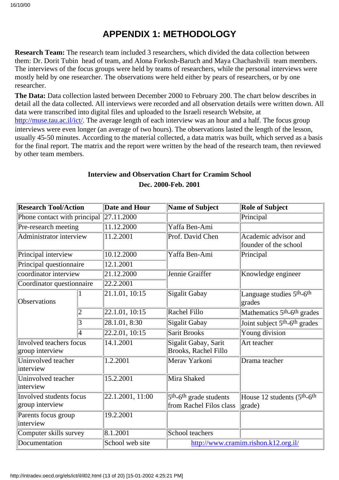### **APPENDIX 1: METHODOLOGY**

**Research Team:** The research team included 3 researchers, which divided the data collection between them: Dr. Dorit Tubin head of team, and Alona Forkosh-Baruch and Maya Chachashvili team members. The interviews of the focus groups were held by teams of researchers, while the personal interviews were mostly held by one researcher. The observations were held either by pears of researchers, or by one researcher.

**The Data:** Data collection lasted between December 2000 to February 200. The chart below describes in detail all the data collected. All interviews were recorded and all observation details were written down. All data were transcribed into digital files and uploaded to the Israeli research Website, at <http://muse.tau.ac.il/ict/>. The average length of each interview was an hour and a half. The focus group interviews were even longer (an average of two hours). The observations lasted the length of the lesson, usually 45-50 minutes. According to the material collected, a data matrix was built, which served as a basis for the final report. The matrix and the report were written by the head of the research team, then reviewed by other team members.

#### **Interview and Observation Chart for Cramim School Dec. 2000-Feb. 2001**

| <b>Research Tool/Action</b>                       |   | <b>Date and Hour</b> | <b>Name of Subject</b>                          | <b>Role of Subject</b>                                |  |
|---------------------------------------------------|---|----------------------|-------------------------------------------------|-------------------------------------------------------|--|
| Phone contact with principal                      |   | 27.11.2000           |                                                 | Principal                                             |  |
| Pre-research meeting                              |   | 11.12.2000           | Yaffa Ben-Ami                                   |                                                       |  |
| Administrator interview                           |   | 11.2.2001            | Prof. David Chen                                | Academic advisor and<br>founder of the school         |  |
| Principal interview                               |   | 10.12.2000           | Yaffa Ben-Ami                                   | Principal                                             |  |
| Principal questionnaire                           |   | 12.1.2001            |                                                 |                                                       |  |
| coordinator interview                             |   | 21.12.2000           | Jennie Graiffer                                 | Knowledge engineer                                    |  |
| Coordinator questionnaire                         |   | 22.2.2001            |                                                 |                                                       |  |
| Observations                                      |   | 21.1.01, 10.15       | Sigalit Gabay                                   | Language studies 5th-6th<br>grades                    |  |
|                                                   |   | 22.1.01, 10:15       | Rachel Fillo                                    | Mathematics 5 <sup>th</sup> -6 <sup>th</sup> grades   |  |
|                                                   | 3 | 28.1.01, 8:30        | <b>Sigalit Gabay</b>                            | Joint subject 5 <sup>th</sup> -6 <sup>th</sup> grades |  |
|                                                   | 4 | [22.2.01, 10:15]     | <b>Sarit Brooks</b>                             | Young division                                        |  |
| <b>Involved teachers focus</b><br>group interview |   | 14.1.2001            | Sigalit Gabay, Sarit<br>Brooks, Rachel Fillo    | Art teacher                                           |  |
| Uninvolved teacher<br>interview                   |   | 1.2.2001             | Merav Yarkoni                                   | Drama teacher                                         |  |
| Uninvolved teacher<br>interview                   |   | 15.2.2001            | Mira Shaked                                     |                                                       |  |
| Involved students focus                           |   | 22.1.2001, 11:00     | 5 <sup>th</sup> -6 <sup>th</sup> grade students | House 12 students (5 <sup>th</sup> -6 <sup>th</sup>   |  |
| group interview                                   |   |                      | from Rachel Filo s class                        | grade)                                                |  |
| Parents focus group<br>interview                  |   | 19.2.2001            |                                                 |                                                       |  |
| Computer skills survey                            |   | 8.1.2001             | School teachers                                 |                                                       |  |
| Documentation                                     |   | School web site      | http://www.cramim.rishon.k12.org.il/            |                                                       |  |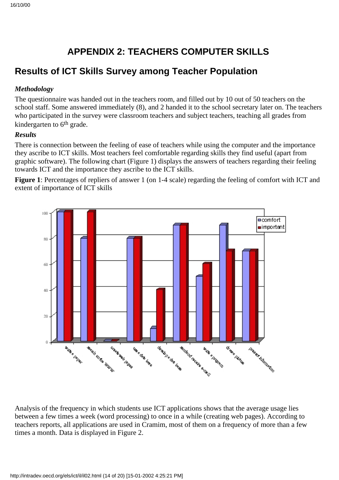# **APPENDIX 2: TEACHERS COMPUTER SKILLS**

### **Results of ICT Skills Survey among Teacher Population**

#### *Methodology*

The questionnaire was handed out in the teachers room, and filled out by 10 out of 50 teachers on the school staff. Some answered immediately (8), and 2 handed it to the school secretary later on. The teachers who participated in the survey were classroom teachers and subject teachers, teaching all grades from kindergarten to 6<sup>th</sup> grade.

#### *Results*

There is connection between the feeling of ease of teachers while using the computer and the importance they ascribe to ICT skills. Most teachers feel comfortable regarding skills they find useful (apart from graphic software). The following chart (Figure 1) displays the answers of teachers regarding their feeling towards ICT and the importance they ascribe to the ICT skills.

**Figure 1**: Percentages of repliers of answer 1 (on 1-4 scale) regarding the feeling of comfort with ICT and extent of importance of ICT skills



Analysis of the frequency in which students use ICT applications shows that the average usage lies between a few times a week (word processing) to once in a while (creating web pages). According to teachers reports, all applications are used in Cramim, most of them on a frequency of more than a few times a month. Data is displayed in Figure 2.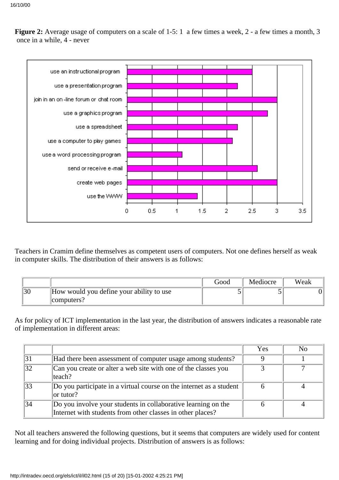

**Figure 2:** Average usage of computers on a scale of 1-5: 1 a few times a week, 2 - a few times a month, 3 once in a while, 4 - never

Teachers in Cramim define themselves as competent users of computers. Not one defines herself as weak in computer skills. The distribution of their answers is as follows:

|                                          | Good | Mediocre | Weak |
|------------------------------------------|------|----------|------|
| How would you define your ability to use |      |          |      |
| computers?                               |      |          |      |

As for policy of ICT implementation in the last year, the distribution of answers indicates a reasonable rate of implementation in different areas:

|    |                                                                                                                             | Yes | No |
|----|-----------------------------------------------------------------------------------------------------------------------------|-----|----|
| 31 | Had there been assessment of computer usage among students?                                                                 |     |    |
| 32 | Can you create or alter a web site with one of the classes you<br>lteach?                                                   |     |    |
| 33 | Do you participate in a virtual course on the internet as a student<br>$\alpha$ tutor?                                      |     |    |
| 34 | Do you involve your students in collaborative learning on the<br>Internet with students from other classes in other places? |     |    |

Not all teachers answered the following questions, but it seems that computers are widely used for content learning and for doing individual projects. Distribution of answers is as follows: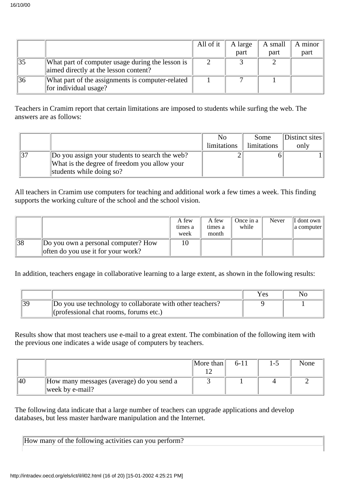|    |                                                                                           | All of it | A large | A small | A minor |
|----|-------------------------------------------------------------------------------------------|-----------|---------|---------|---------|
|    |                                                                                           |           | part    | part    | part    |
|    | What part of computer usage during the lesson is<br>aimed directly at the lesson content? |           |         |         |         |
| 36 | What part of the assignments is computer-related<br>for individual usage?                 |           |         |         |         |

Teachers in Cramim report that certain limitations are imposed to students while surfing the web. The answers are as follows:

|                                                | No          | Some               | Distinct sites |
|------------------------------------------------|-------------|--------------------|----------------|
|                                                | limitations | <i>limitations</i> | only           |
| Do you assign your students to search the web? |             |                    |                |
| What is the degree of freedom you allow your   |             |                    |                |
| students while doing so?                       |             |                    |                |

All teachers in Cramim use computers for teaching and additional work a few times a week. This finding supports the working culture of the school and the school vision.

|    |                                                                           | A few<br>times a<br>week | A few<br>times a<br>month | Once in a<br>while | Never | $\Vert$ I don t own $\Vert$<br>a computer |
|----|---------------------------------------------------------------------------|--------------------------|---------------------------|--------------------|-------|-------------------------------------------|
| 38 | Do you own a personal computer? How<br>often do you use it for your work? |                          |                           |                    |       |                                           |

In addition, teachers engage in collaborative learning to a large extent, as shown in the following results:

|                                                                                                               | Yes | No |
|---------------------------------------------------------------------------------------------------------------|-----|----|
| Do you use technology to collaborate with other teachers?<br>$\langle$ (professional chat rooms, forums etc.) |     |    |

Results show that most teachers use e-mail to a great extent. The combination of the following item with the previous one indicates a wide usage of computers by teachers.

|      |                                           | More than | $6 - 11$ | l –' | None |
|------|-------------------------------------------|-----------|----------|------|------|
|      |                                           |           |          |      |      |
| 40 V | How many messages (average) do you send a |           |          |      |      |
|      | week by e-mail?                           |           |          |      |      |

The following data indicate that a large number of teachers can upgrade applications and develop databases, but less master hardware manipulation and the Internet.

How many of the following activities can you perform?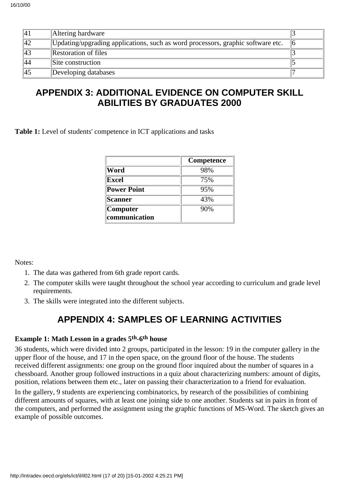| 41              | Altering hardware                                                               |  |
|-----------------|---------------------------------------------------------------------------------|--|
| 42              | Updating/upgrading applications, such as word processors, graphic software etc. |  |
| $\sqrt{43}$     | <b>Restoration of files</b>                                                     |  |
| $\overline{44}$ | Site construction                                                               |  |
| 45              | Developing databases                                                            |  |

### **APPENDIX 3: ADDITIONAL EVIDENCE ON COMPUTER SKILL ABILITIES BY GRADUATES 2000**

Table 1: Level of students' competence in ICT applications and tasks

|                    | Competence |
|--------------------|------------|
| Word               | 98%        |
| Excel              | 75%        |
| <b>Power Point</b> | 95%        |
| Scanner            | 43%        |
| Computer           | 90%        |
| communication      |            |

Notes:

- 1. The data was gathered from 6th grade report cards.
- The computer skills were taught throughout the school year according to curriculum and grade level 2. requirements.
- 3. The skills were integrated into the different subjects.

## **APPENDIX 4: SAMPLES OF LEARNING ACTIVITIES**

#### **Example 1: Math Lesson in a grades 5th-6th house**

36 students, which were divided into 2 groups, participated in the lesson: 19 in the computer gallery in the upper floor of the house, and 17 in the open space, on the ground floor of the house. The students received different assignments: one group on the ground floor inquired about the number of squares in a chessboard. Another group followed instructions in a quiz about characterizing numbers: amount of digits, position, relations between them etc., later on passing their characterization to a friend for evaluation.

In the gallery, 9 students are experiencing combinatorics, by research of the possibilities of combining different amounts of squares, with at least one joining side to one another. Students sat in pairs in front of the computers, and performed the assignment using the graphic functions of MS-Word. The sketch gives an example of possible outcomes.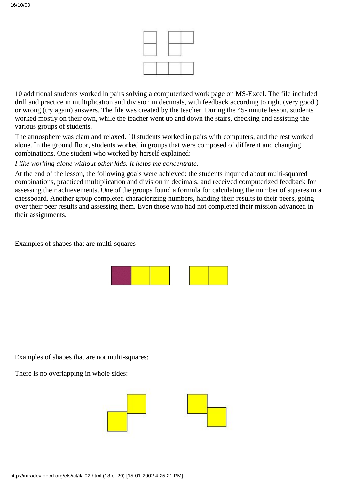

10 additional students worked in pairs solving a computerized work page on MS-Excel. The file included drill and practice in multiplication and division in decimals, with feedback according to right (very good) or wrong (try again) answers. The file was created by the teacher. During the 45-minute lesson, students worked mostly on their own, while the teacher went up and down the stairs, checking and assisting the various groups of students.

The atmosphere was clam and relaxed. 10 students worked in pairs with computers, and the rest worked alone. In the ground floor, students worked in groups that were composed of different and changing combinations. One student who worked by herself explained:

#### *I like working alone without other kids. It helps me concentrate.*

At the end of the lesson, the following goals were achieved: the students inquired about multi-squared combinations, practiced multiplication and division in decimals, and received computerized feedback for assessing their achievements. One of the groups found a formula for calculating the number of squares in a chessboard. Another group completed characterizing numbers, handing their results to their peers, going over their peer results and assessing them. Even those who had not completed their mission advanced in their assignments.

Examples of shapes that are multi-squares



Examples of shapes that are not multi-squares:

There is no overlapping in whole sides:

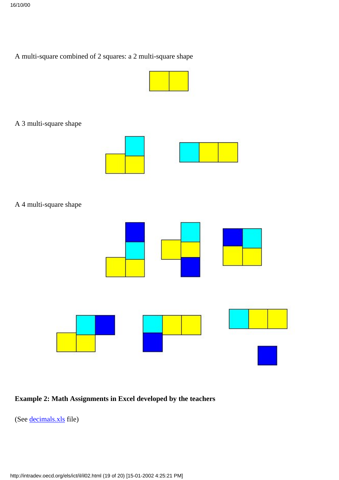### A multi-square combined of 2 squares: a 2 multi-square shape



A 3 multi-square shape



A 4 multi-square shape



### **Example 2: Math Assignments in Excel developed by the teachers**

(See [decimals.xls](http://waldorf.eds.udel.edu/oecd/report/cases/IL/DESKTOP/Sites%20M2/�����/decimals.xls) file)